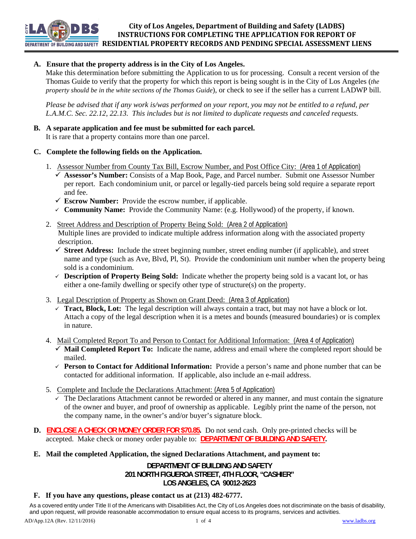**City of Los Angeles, Department of Building and Safety (LADBS) INSTRUCTIONS FOR COMPLETING THE APPLICATION FOR REPORT OF RESIDENTIAL PROPERTY RECORDS AND PENDING SPECIAL ASSESSMENT LIENS**

# **A. Ensure that the property address is in the City of Los Angeles.**

Make this determination before submitting the Application to us for processing. Consult a recent version of the Thomas Guide to verify that the property for which this report is being sought is in the City of Los Angeles (*the property should be in the white sections of the Thomas Guide*), or check to see if the seller has a current LADWP bill.

*Please be advised that if any work is/was performed on your report, you may not be entitled to a refund, per L.A.M.C. Sec. 22.12, 22.13. This includes but is not limited to duplicate requests and canceled requests.*

## **B. A separate application and fee must be submitted for each parcel.**

It is rare that a property contains more than one parcel.

# **C. Complete the following fields on the Application.**

**DEPARTMENT OF RIIII DING AND SAFETY** 

- 1. Assessor Number from County Tax Bill, Escrow Number, and Post Office City: (Area 1 of Application)
	- **Assessor's Number:** Consists of a Map Book, Page, and Parcel number. Submit one Assessor Number per report. Each condominium unit, or parcel or legally-tied parcels being sold require a separate report and fee.
	- $\checkmark$  **Escrow Number:** Provide the escrow number, if applicable.
	- **Community Name:** Provide the Community Name: (e.g. Hollywood) of the property, if known.
- 2. Street Address and Description of Property Being Sold: (Area 2 of Application) Multiple lines are provided to indicate multiple address information along with the associated property description.
	- $\checkmark$  **Street Address:** Include the street beginning number, street ending number (if applicable), and street name and type (such as Ave, Blvd, Pl, St). Provide the condominium unit number when the property being sold is a condominium.
	- **Description of Property Being Sold:** Indicate whether the property being sold is a vacant lot, or has either a one-family dwelling or specify other type of structure(s) on the property.
- 3. Legal Description of Property as Shown on Grant Deed: (Area 3 of Application)
	- $\checkmark$  **Tract, Block, Lot:** The legal description will always contain a tract, but may not have a block or lot. Attach a copy of the legal description when it is a metes and bounds (measured boundaries) or is complex in nature.
- 4. Mail Completed Report To and Person to Contact for Additional Information: (Area 4 of Application)
	- **Mail Completed Report To:** Indicate the name, address and email where the completed report should be mailed.
	- **Person to Contact for Additional Information:** Provide a person's name and phone number that can be contacted for additional information. If applicable, also include an e-mail address.
- 5. Complete and Include the Declarations Attachment: (Area 5 of Application)
	- $\checkmark$  The Declarations Attachment cannot be reworded or altered in any manner, and must contain the signature of the owner and buyer, and proof of ownership as applicable. Legibly print the name of the person, not the company name, in the owner's and/or buyer's signature block.
- **D. ENCLOSE A CHECK OR MONEY ORDER FOR \$70.85.** Do not send cash. Only pre-printed checks will be accepted. Make check or money order payable to: **DEPARTMENT OF BUILDING AND SAFETY.**
- **E. Mail the completed Application, the signed Declarations Attachment, and payment to:**

**DEPARTMENT OF BUILDING AND SAFETY 201 NORTH FIGUEROA STREET, 4TH FLOOR, "CASHIER" LOS ANGELES, CA 90012-2623**

# **F. If you have any questions, please contact us at (213) 482-6777.**

As a covered entity under Title II of the Americans with Disabilities Act, the City of Los Angeles does not discriminate on the basis of disability, and upon request, will provide reasonable accommodation to ensure equal access to its programs, services and activities.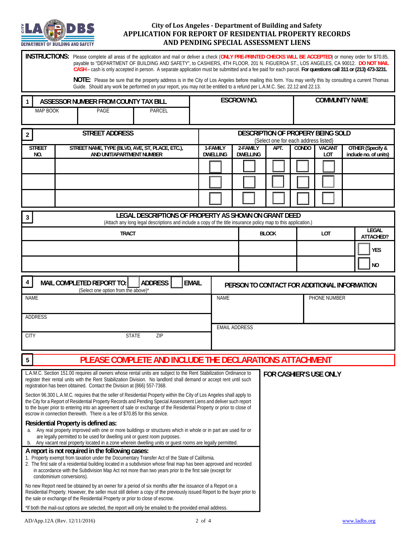

## **City of Los Angeles ‐ Department of Building and Safety APPLICATION FOR REPORT OF RESIDENTIAL PROPERTY RECORDS AND PENDING SPECIAL ASSESSMENT LIENS**

**INSTRUCTIONS:** Please complete all areas of the application and mail or deliver a check (**ONLY PRE-PRINTED CHECKS WILL BE ACCEPTED**) or money order for \$70.85, payable to "DEPARTMENT OF BUILDING AND SAFETY", to CASHIERS, 4TH FLOOR, 201 N. FIGUEROA ST., LOS ANGELES, CA 90012. **DO NOT MAIL CASH** – cash is only accepted in person. A separate application must be submitted and a fee paid for each parcel. **For questions call 311 or (213) 473-3231.**

> **NOTE:** Please be sure that the property address is in the City of Los Angeles before mailing this form. You may verify this by consulting a current Thomas Guide. Should any work be performed on your report, you may not be entitled to a refund per L.A.M.C. Sec. 22.12 and 22.13.

| ASSESSOR NUMBER FROM COUNTY TAX BILL                                                                                                                                                                                                                                                                                                                                                                                                                 |                                                                              |      |               | <b>ESCROW NO.</b> |                                                                           |                             | <b>COMMUNITY NAME</b>  |       |                      |                                                  |  |  |
|------------------------------------------------------------------------------------------------------------------------------------------------------------------------------------------------------------------------------------------------------------------------------------------------------------------------------------------------------------------------------------------------------------------------------------------------------|------------------------------------------------------------------------------|------|---------------|-------------------|---------------------------------------------------------------------------|-----------------------------|------------------------|-------|----------------------|--------------------------------------------------|--|--|
| MAP BOOK                                                                                                                                                                                                                                                                                                                                                                                                                                             |                                                                              | PAGE | <b>PARCEL</b> |                   |                                                                           |                             |                        |       |                      |                                                  |  |  |
| <b>STREET ADDRESS</b><br>$\overline{2}$                                                                                                                                                                                                                                                                                                                                                                                                              |                                                                              |      |               |                   | DESCRIPTION OF PROPERY BEING SOLD<br>(Select one for each address listed) |                             |                        |       |                      |                                                  |  |  |
| <b>STREET</b><br>NO.                                                                                                                                                                                                                                                                                                                                                                                                                                 | STREET NAME, TYPE (BLVD, AVE, ST, PLACE, ETC.),<br>AND UNIT/APARTMENT NUMBER |      |               |                   | 1-FAMILY<br><b>DWELLING</b>                                               | 2-FAMILY<br><b>DWELLING</b> | APT.                   | CONDO | <b>VACANT</b><br>LOT | <b>OTHER</b> (Specify &<br>include no. of units) |  |  |
|                                                                                                                                                                                                                                                                                                                                                                                                                                                      |                                                                              |      |               |                   |                                                                           |                             |                        |       |                      |                                                  |  |  |
|                                                                                                                                                                                                                                                                                                                                                                                                                                                      |                                                                              |      |               |                   |                                                                           |                             |                        |       |                      |                                                  |  |  |
|                                                                                                                                                                                                                                                                                                                                                                                                                                                      |                                                                              |      |               |                   |                                                                           |                             |                        |       |                      |                                                  |  |  |
| LEGAL DESCRIPTIONS OF PROPERTY AS SHOWN ON GRANT DEED<br>3<br>(Attach any long legal descriptions and include a copy of the title insurance policy map to this application.)                                                                                                                                                                                                                                                                         |                                                                              |      |               |                   |                                                                           |                             |                        |       |                      |                                                  |  |  |
| <b>TRACT</b>                                                                                                                                                                                                                                                                                                                                                                                                                                         |                                                                              |      |               |                   |                                                                           |                             | <b>BLOCK</b>           |       | LOT                  | LEGAL<br>ATTACHED?                               |  |  |
|                                                                                                                                                                                                                                                                                                                                                                                                                                                      |                                                                              |      |               |                   |                                                                           |                             |                        |       |                      | <b>YES</b>                                       |  |  |
|                                                                                                                                                                                                                                                                                                                                                                                                                                                      |                                                                              |      |               |                   |                                                                           |                             |                        |       |                      | <b>NO</b>                                        |  |  |
| <b>ADDRESS</b><br>MAIL COMPLETED REPORT TO:<br><b>EMAIL</b><br>4<br>(Select one option from the above)'                                                                                                                                                                                                                                                                                                                                              |                                                                              |      |               |                   | PERSON TO CONTACT FOR ADDITIONAL INFORMATION                              |                             |                        |       |                      |                                                  |  |  |
| <b>NAME</b>                                                                                                                                                                                                                                                                                                                                                                                                                                          |                                                                              |      |               |                   | <b>NAME</b><br>PHONE NUMBER                                               |                             |                        |       |                      |                                                  |  |  |
| <b>ADDRESS</b>                                                                                                                                                                                                                                                                                                                                                                                                                                       |                                                                              |      |               |                   |                                                                           |                             |                        |       |                      |                                                  |  |  |
| <b>STATE</b><br>ZIP<br><b>CITY</b>                                                                                                                                                                                                                                                                                                                                                                                                                   |                                                                              |      |               |                   | <b>EMAIL ADDRESS</b>                                                      |                             |                        |       |                      |                                                  |  |  |
|                                                                                                                                                                                                                                                                                                                                                                                                                                                      |                                                                              |      |               |                   |                                                                           |                             |                        |       |                      |                                                  |  |  |
| PLEASE COMPLETE AND INCLUDE THE DECLARATIONS ATTACHMENT<br>$5\phantom{.0}$                                                                                                                                                                                                                                                                                                                                                                           |                                                                              |      |               |                   |                                                                           |                             |                        |       |                      |                                                  |  |  |
| L.A.M.C. Section 151.00 requires all owners whose rental units are subject to the Rent Stabilization Ordinance to<br>register their rental units with the Rent Stabilization Division. No landlord shall demand or accept rent until such<br>registration has been obtained. Contact the Division at (866) 557-7368.                                                                                                                                 |                                                                              |      |               |                   |                                                                           |                             | FOR CASHIER'S USE ONLY |       |                      |                                                  |  |  |
| Section 96.300 L.A.M.C. requires that the seller of Residential Property within the City of Los Angeles shall apply to<br>the City for a Report of Residential Property Records and Pending Special Assessment Liens and deliver such report<br>to the buyer prior to entering into an agreement of sale or exchange of the Residential Property or prior to close of<br>escrow in connection therewith. There is a fee of \$70.85 for this service. |                                                                              |      |               |                   |                                                                           |                             |                        |       |                      |                                                  |  |  |
| Residential Property is defined as:<br>a. Any real property improved with one or more buildings or structures which in whole or in part are used for or<br>are legally permitted to be used for dwelling unit or guest room purposes.<br>Any vacant real property located in a zone wherein dwelling units or guest rooms are legally permitted.<br>b.                                                                                               |                                                                              |      |               |                   |                                                                           |                             |                        |       |                      |                                                  |  |  |
| A report is not required in the following cases:<br>1. Property exempt from taxation under the Documentary Transfer Act of the State of California.<br>2. The first sale of a residential building located in a subdivision whose final map has been approved and recorded<br>in accordance with the Subdivision Map Act not more than two years prior to the first sale (except for<br>condominium conversions).                                    |                                                                              |      |               |                   |                                                                           |                             |                        |       |                      |                                                  |  |  |
| No new Report need be obtained by an owner for a period of six months after the issuance of a Report on a<br>Residential Property. However, the seller must still deliver a copy of the previously issued Report to the buyer prior to<br>the sale or exchange of the Residential Property or prior to close of escrow.                                                                                                                              |                                                                              |      |               |                   |                                                                           |                             |                        |       |                      |                                                  |  |  |
| *If both the mail-out options are selected, the report will only be emailed to the provided email address.                                                                                                                                                                                                                                                                                                                                           |                                                                              |      |               |                   |                                                                           |                             |                        |       |                      |                                                  |  |  |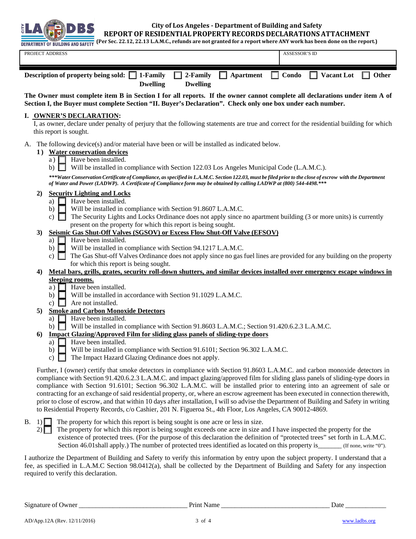

**City of Los Angeles ‐ Department of Building and Safety**

**REPORT OF RESIDENTIALPROPERTYRECORDS DECLARATIONSATTACHMENT**

(Per Sec. 22.12, 22.13 L.A.M.C., refunds are not granted for a report where ANY work has been done on the report.) **DEPARTMENT OF BUILDING AND SAFETY** 

| PROJECT ADDRESS                                                                                                     |                 | ASSESSOR'S ID |              |
|---------------------------------------------------------------------------------------------------------------------|-----------------|---------------|--------------|
| Description of property being sold: $\Box$ 1-Family $\Box$ 2-Family $\Box$ Apartment $\Box$ Condo $\Box$ Vacant Lot |                 |               | <b>Other</b> |
| <b>Dwelling</b>                                                                                                     | <b>Dwelling</b> |               |              |

**The Owner must complete item B in Section I for all reports. If the owner cannot complete all declarations under item A of Section I, the Buyer must complete Section "II. Buyer's Declaration". Check only one box under each number.**

### **I. OWNER'S DECLARATION:**

I, as owner, declare under penalty of perjury that the following statements are true and correct for the residential building for which this report is sought.

A. The following device(s) and/or material have been or will be installed as indicated below.

#### **1 ) Water conservation devices**

- a)  $\Box$  Have been installed.
- b) Will be installed in compliance with Section 122.03 Los Angeles Municipal Code (L.A.M.C.).

*\*\*\*Water Conservation Certificate of Compliance, as specified in L.A.M.C. Section 122.03, must be filed prior to the close of escrow with the Department of Water and Power (LADWP). A Certificate of Compliance form may be obtained by calling LADWP at (800) 544-4498.\*\*\** 

### **2) Security Lighting and Locks**

- a)  $\Box$  Have been installed.
- b) Will be installed in compliance with Section 91.8607 L.A.M.C.
- c)  $\Box$  The Security Lights and Locks Ordinance does not apply since no apartment building (3 or more units) is currently present on the property for which this report is being sought.

### **3) Seismic Gas Shut-Off Valves (SGSOV) or Excess Flow Shut-Off Valve (EFSOV)**

- Have been installed.
- b) Will be installed in compliance with Section 94.1217 L.A.M.C.
- c)  $\Box$  The Gas Shut-off Valves Ordinance does not apply since no gas fuel lines are provided for any building on the property for which this report is being sought.

## **4) Metal bars, grills, grates, security roll-down shutters, and similar devices installed over emergency escape windows in sleeping rooms.**

- a)  $\Box$  Have been installed.
- b) Will be installed in accordance with Section 91.1029 L.A.M.C.
- c)  $\Box$  Are not installed.
- **5) Smoke and Carbon Monoxide Detectors** 
	- a)  $\Box$  Have been installed.
	- b) Will be installed in compliance with Section 91.8603 L.A.M.C.; Section 91.420.6.2.3 L.A.M.C.

### **6) Impact Glazing/Approved Film for sliding glass panels of sliding-type doors**

- a)  $\Box$  Have been installed.
- b) Will be installed in compliance with Section 91.6101; Section 96.302 L.A.M.C.
- c)  $\Box$  The Impact Hazard Glazing Ordinance does not apply.

Further, I (owner) certify that smoke detectors in compliance with Section 91.8603 L.A.M.C. and carbon monoxide detectors in compliance with Section 91.420.6.2.3 L.A.M.C. and impact glazing/approved film for sliding glass panels of sliding-type doors in compliance with Section 91.6101; Section 96.302 L.A.M.C. will be installed prior to entering into an agreement of sale or contracting for an exchange of said residential property, or, where an escrow agreement has been executed in connection therewith, prior to close of escrow, and that within 10 days after installation, I will so advise the Department of Building and Safety in writing to Residential Property Records, c/o Cashier, 201 N. Figueroa St., 4th Floor, Los Angeles, CA 90012-4869.

 $B.$  1) The property for which this report is being sought is one acre or less in size.

2) The property for which this report is being sought exceeds one acre in size and I have inspected the property for the existence of protected trees. (For the purpose of this declaration the definition of "protected trees" set forth in L.A.M.C. Section 46.01 shall apply.) The number of protected trees identified as located on this property is (If none, write "0").

I authorize the Department of Building and Safety to verify this information by entry upon the subject property. I understand that a fee, as specified in L.A.M.C Section 98.0412(a), shall be collected by the Department of Building and Safety for any inspection required to verify this declaration.

Signature of Owner \_\_\_\_\_\_\_\_\_\_\_\_\_\_\_\_\_\_\_\_\_\_\_\_\_\_\_\_\_\_\_\_ Print Name \_\_\_\_\_\_\_\_\_\_\_\_\_\_\_\_\_\_\_\_\_\_\_\_\_\_\_\_\_\_\_\_ Date \_\_\_\_\_\_\_\_\_\_\_\_